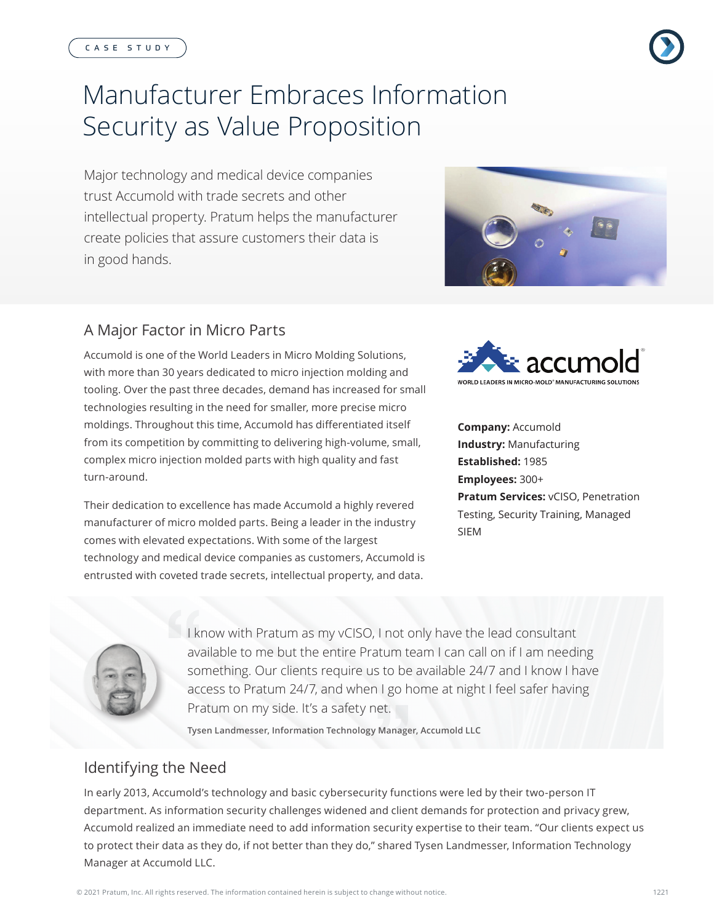# Manufacturer Embraces Information Security as Value Proposition

Major technology and medical device companies trust Accumold with trade secrets and other intellectual property. Pratum helps the manufacturer create policies that assure customers their data is in good hands.



# A Major Factor in Micro Parts

Accumold is one of the World Leaders in Micro Molding Solutions, with more than 30 years dedicated to micro injection molding and tooling. Over the past three decades, demand has increased for small technologies resulting in the need for smaller, more precise micro moldings. Throughout this time, Accumold has differentiated itself from its competition by committing to delivering high-volume, small, complex micro injection molded parts with high quality and fast turn-around.

Their dedication to excellence has made Accumold a highly revered manufacturer of micro molded parts. Being a leader in the industry comes with elevated expectations. With some of the largest technology and medical device companies as customers, Accumold is entrusted with coveted trade secrets, intellectual property, and data.



**Company:** Accumold **Industry:** Manufacturing **Established:** 1985 **Employees:** 300+ **Pratum Services:** vCISO, Penetration Testing, Security Training, Managed SIEM



I know with Pratum as my vCISO, I not only have the lead consultant available to me but the entire Pratum team I can call on if I am needing something. Our clients require us to be available 24/7 and I know I have access to Pratum 24/7, and when I go home at night I feel safer having Pratum on my side. It's a safety net.

**Tysen Landmesser, Information Technology Manager, Accumold LLC**

# Identifying the Need

In early 2013, Accumold's technology and basic cybersecurity functions were led by their two-person IT department. As information security challenges widened and client demands for protection and privacy grew, Accumold realized an immediate need to add information security expertise to their team. "Our clients expect us to protect their data as they do, if not better than they do," shared Tysen Landmesser, Information Technology Manager at Accumold LLC.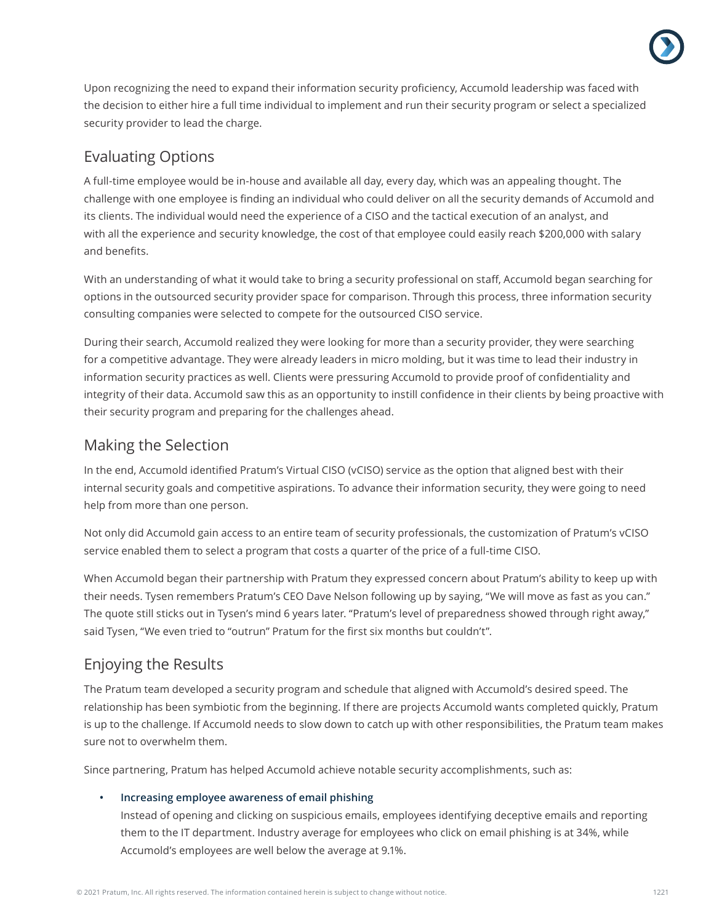

Upon recognizing the need to expand their information security proficiency, Accumold leadership was faced with the decision to either hire a full time individual to implement and run their security program or select a specialized security provider to lead the charge.

## Evaluating Options

A full-time employee would be in-house and available all day, every day, which was an appealing thought. The challenge with one employee is finding an individual who could deliver on all the security demands of Accumold and its clients. The individual would need the experience of a CISO and the tactical execution of an analyst, and with all the experience and security knowledge, the cost of that employee could easily reach \$200,000 with salary and benefits.

With an understanding of what it would take to bring a security professional on staff, Accumold began searching for options in the outsourced security provider space for comparison. Through this process, three information security consulting companies were selected to compete for the outsourced CISO service.

During their search, Accumold realized they were looking for more than a security provider, they were searching for a competitive advantage. They were already leaders in micro molding, but it was time to lead their industry in information security practices as well. Clients were pressuring Accumold to provide proof of confidentiality and integrity of their data. Accumold saw this as an opportunity to instill confidence in their clients by being proactive with their security program and preparing for the challenges ahead.

## Making the Selection

In the end, Accumold identified Pratum's Virtual CISO (vCISO) service as the option that aligned best with their internal security goals and competitive aspirations. To advance their information security, they were going to need help from more than one person.

Not only did Accumold gain access to an entire team of security professionals, the customization of Pratum's vCISO service enabled them to select a program that costs a quarter of the price of a full-time CISO.

When Accumold began their partnership with Pratum they expressed concern about Pratum's ability to keep up with their needs. Tysen remembers Pratum's CEO Dave Nelson following up by saying, "We will move as fast as you can." The quote still sticks out in Tysen's mind 6 years later. "Pratum's level of preparedness showed through right away," said Tysen, "We even tried to "outrun" Pratum for the first six months but couldn't".

# Enjoying the Results

The Pratum team developed a security program and schedule that aligned with Accumold's desired speed. The relationship has been symbiotic from the beginning. If there are projects Accumold wants completed quickly, Pratum is up to the challenge. If Accumold needs to slow down to catch up with other responsibilities, the Pratum team makes sure not to overwhelm them.

Since partnering, Pratum has helped Accumold achieve notable security accomplishments, such as:

## **• Increasing employee awareness of email phishing**

Instead of opening and clicking on suspicious emails, employees identifying deceptive emails and reporting them to the IT department. Industry average for employees who click on email phishing is at 34%, while Accumold's employees are well below the average at 9.1%.